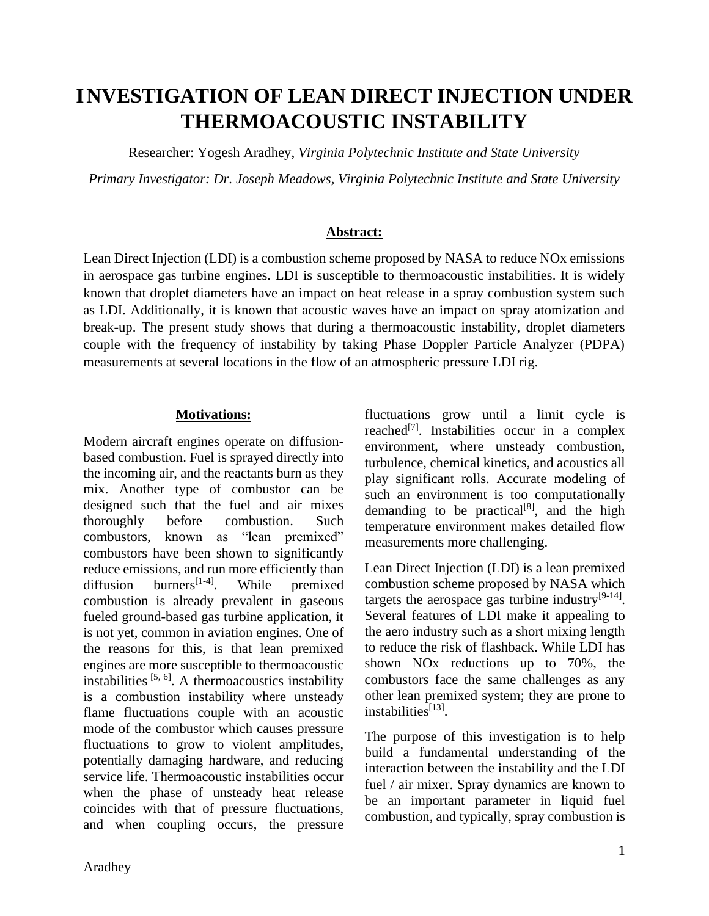# **INVESTIGATION OF LEAN DIRECT INJECTION UNDER THERMOACOUSTIC INSTABILITY**

Researcher: Yogesh Aradhey, *Virginia Polytechnic Institute and State University*

*Primary Investigator: Dr. Joseph Meadows, Virginia Polytechnic Institute and State University*

#### **Abstract:**

Lean Direct Injection (LDI) is a combustion scheme proposed by NASA to reduce NOx emissions in aerospace gas turbine engines. LDI is susceptible to thermoacoustic instabilities. It is widely known that droplet diameters have an impact on heat release in a spray combustion system such as LDI. Additionally, it is known that acoustic waves have an impact on spray atomization and break-up. The present study shows that during a thermoacoustic instability, droplet diameters couple with the frequency of instability by taking Phase Doppler Particle Analyzer (PDPA) measurements at several locations in the flow of an atmospheric pressure LDI rig.

#### **Motivations:**

Modern aircraft engines operate on diffusionbased combustion. Fuel is sprayed directly into the incoming air, and the reactants burn as they mix. Another type of combustor can be designed such that the fuel and air mixes thoroughly before combustion. Such combustors, known as "lean premixed" combustors have been shown to significantly reduce emissions, and run more efficiently than diffusion burners<sup>[1-4]</sup>. . While premixed combustion is already prevalent in gaseous fueled ground-based gas turbine application, it is not yet, common in aviation engines. One of the reasons for this, is that lean premixed engines are more susceptible to thermoacoustic instabilities  $[5, 6]$ . A thermoacoustics instability is a combustion instability where unsteady flame fluctuations couple with an acoustic mode of the combustor which causes pressure fluctuations to grow to violent amplitudes, potentially damaging hardware, and reducing service life. Thermoacoustic instabilities occur when the phase of unsteady heat release coincides with that of pressure fluctuations, and when coupling occurs, the pressure

fluctuations grow until a limit cycle is reached<sup>[7]</sup>. Instabilities occur in a complex environment, where unsteady combustion, turbulence, chemical kinetics, and acoustics all play significant rolls. Accurate modeling of such an environment is too computationally demanding to be practical $[8]$ , and the high temperature environment makes detailed flow measurements more challenging.

Lean Direct Injection (LDI) is a lean premixed combustion scheme proposed by NASA which targets the aerospace gas turbine industry $[9-14]$ . Several features of LDI make it appealing to the aero industry such as a short mixing length to reduce the risk of flashback. While LDI has shown NOx reductions up to 70%, the combustors face the same challenges as any other lean premixed system; they are prone to instabilities<sup>[13]</sup>.

The purpose of this investigation is to help build a fundamental understanding of the interaction between the instability and the LDI fuel / air mixer. Spray dynamics are known to be an important parameter in liquid fuel combustion, and typically, spray combustion is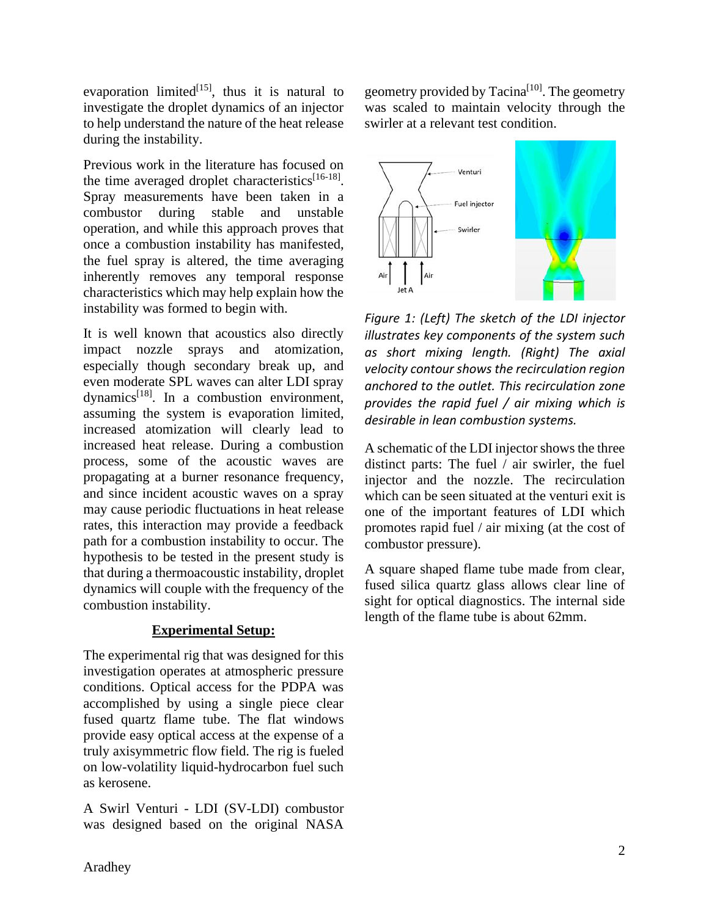evaporation limited<sup>[15]</sup>, thus it is natural to investigate the droplet dynamics of an injector to help understand the nature of the heat release during the instability.

Previous work in the literature has focused on the time averaged droplet characteristics<sup>[16-18]</sup>. Spray measurements have been taken in a combustor during stable and unstable operation, and while this approach proves that once a combustion instability has manifested, the fuel spray is altered, the time averaging inherently removes any temporal response characteristics which may help explain how the instability was formed to begin with.

It is well known that acoustics also directly impact nozzle sprays and atomization, especially though secondary break up, and even moderate SPL waves can alter LDI spray dynamics<sup>[18]</sup>. In a combustion environment, assuming the system is evaporation limited, increased atomization will clearly lead to increased heat release. During a combustion process, some of the acoustic waves are propagating at a burner resonance frequency, and since incident acoustic waves on a spray may cause periodic fluctuations in heat release rates, this interaction may provide a feedback path for a combustion instability to occur. The hypothesis to be tested in the present study is that during a thermoacoustic instability, droplet dynamics will couple with the frequency of the combustion instability.

# **Experimental Setup:**

The experimental rig that was designed for this investigation operates at atmospheric pressure conditions. Optical access for the PDPA was accomplished by using a single piece clear fused quartz flame tube. The flat windows provide easy optical access at the expense of a truly axisymmetric flow field. The rig is fueled on low-volatility liquid-hydrocarbon fuel such as kerosene.

A Swirl Venturi - LDI (SV-LDI) combustor was designed based on the original NASA geometry provided by Tacina<sup>[10]</sup>. The geometry was scaled to maintain velocity through the swirler at a relevant test condition.



*Figure 1: (Left) The sketch of the LDI injector illustrates key components of the system such as short mixing length. (Right) The axial velocity contour shows the recirculation region anchored to the outlet. This recirculation zone provides the rapid fuel / air mixing which is desirable in lean combustion systems.*

A schematic of the LDI injector shows the three distinct parts: The fuel / air swirler, the fuel injector and the nozzle. The recirculation which can be seen situated at the venturi exit is one of the important features of LDI which promotes rapid fuel / air mixing (at the cost of combustor pressure).

A square shaped flame tube made from clear, fused silica quartz glass allows clear line of sight for optical diagnostics. The internal side length of the flame tube is about 62mm.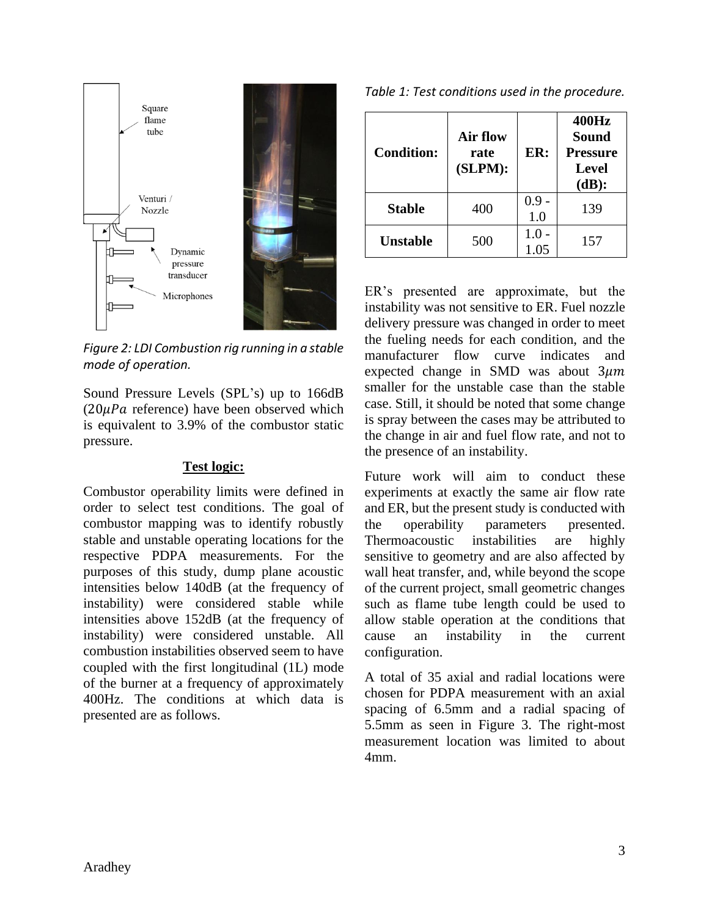

*Figure 2: LDI Combustion rig running in a stable mode of operation.*

Sound Pressure Levels (SPL's) up to 166dB  $(20 \mu Pa$  reference) have been observed which is equivalent to 3.9% of the combustor static pressure.

#### **Test logic:**

Combustor operability limits were defined in order to select test conditions. The goal of combustor mapping was to identify robustly stable and unstable operating locations for the respective PDPA measurements. For the purposes of this study, dump plane acoustic intensities below 140dB (at the frequency of instability) were considered stable while intensities above 152dB (at the frequency of instability) were considered unstable. All combustion instabilities observed seem to have coupled with the first longitudinal (1L) mode of the burner at a frequency of approximately 400Hz. The conditions at which data is presented are as follows.

| Table 1: Test conditions used in the procedure. |  |  |
|-------------------------------------------------|--|--|
|-------------------------------------------------|--|--|

| <b>Condition:</b> | Air flow<br>rate<br>(SLPM): | ER:            | 400Hz<br><b>Sound</b><br><b>Pressure</b><br><b>Level</b><br>(dB): |
|-------------------|-----------------------------|----------------|-------------------------------------------------------------------|
| <b>Stable</b>     | 400                         | $0.9 -$<br>1.0 | 139                                                               |
| <b>Unstable</b>   | 500                         | 1.0            | 157                                                               |

ER's presented are approximate, but the instability was not sensitive to ER. Fuel nozzle delivery pressure was changed in order to meet the fueling needs for each condition, and the manufacturer flow curve indicates and expected change in SMD was about  $3\mu m$ smaller for the unstable case than the stable case. Still, it should be noted that some change is spray between the cases may be attributed to the change in air and fuel flow rate, and not to the presence of an instability.

Future work will aim to conduct these experiments at exactly the same air flow rate and ER, but the present study is conducted with the operability parameters presented. Thermoacoustic instabilities are highly sensitive to geometry and are also affected by wall heat transfer, and, while beyond the scope of the current project, small geometric changes such as flame tube length could be used to allow stable operation at the conditions that cause an instability in the current configuration.

A total of 35 axial and radial locations were chosen for PDPA measurement with an axial spacing of 6.5mm and a radial spacing of 5.5mm as seen in [Figure 3.](#page-3-0) The right-most measurement location was limited to about 4mm.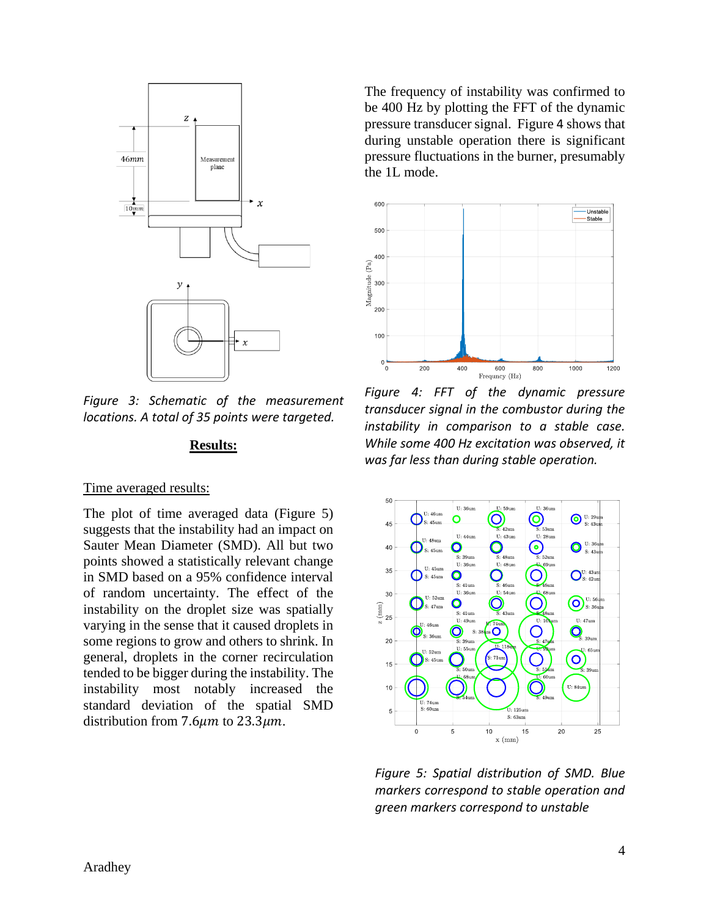

<span id="page-3-0"></span>*Figure 3: Schematic of the measurement locations. A total of 35 points were targeted.*

#### **Results:**

#### Time averaged results:

The plot of time averaged data [\(Figure 5\)](#page-3-2) suggests that the instability had an impact on Sauter Mean Diameter (SMD). All but two points showed a statistically relevant change in SMD based on a 95% confidence interval of random uncertainty. The effect of the instability on the droplet size was spatially varying in the sense that it caused droplets in some regions to grow and others to shrink. In general, droplets in the corner recirculation tended to be bigger during the instability. The instability most notably increased the standard deviation of the spatial SMD distribution from 7.6 $\mu$ m to 23.3 $\mu$ m.

The frequency of instability was confirmed to be 400 Hz by plotting the FFT of the dynamic pressure transducer signal. [Figure](#page-3-1) [4](#page-3-1) shows that during unstable operation there is significant pressure fluctuations in the burner, presumably the 1L mode.

<span id="page-3-1"></span>

*Figure 4: FFT of the dynamic pressure transducer signal in the combustor during the instability in comparison to a stable case. While some 400 Hz excitation was observed, it was far less than during stable operation.*



<span id="page-3-2"></span>*Figure 5: Spatial distribution of SMD. Blue markers correspond to stable operation and green markers correspond to unstable*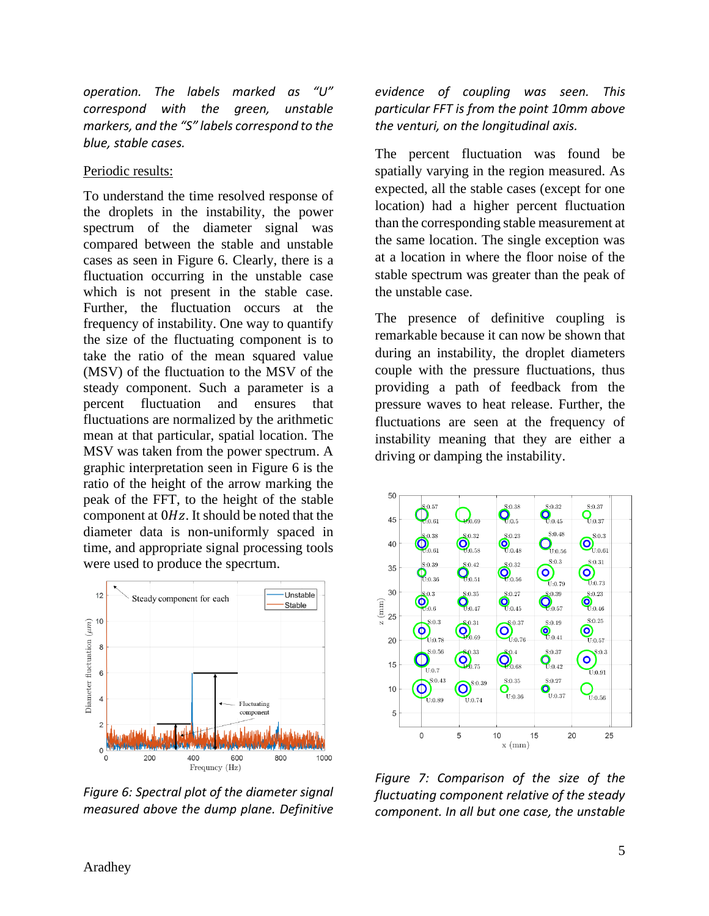*operation. The labels marked as "U" correspond with the green, unstable markers, and the "S" labels correspond to the blue, stable cases.*

## Periodic results:

To understand the time resolved response of the droplets in the instability, the power spectrum of the diameter signal was compared between the stable and unstable cases as seen in [Figure 6.](#page-4-0) Clearly, there is a fluctuation occurring in the unstable case which is not present in the stable case. Further, the fluctuation occurs at the frequency of instability. One way to quantify the size of the fluctuating component is to take the ratio of the mean squared value (MSV) of the fluctuation to the MSV of the steady component. Such a parameter is a percent fluctuation and ensures that fluctuations are normalized by the arithmetic mean at that particular, spatial location. The MSV was taken from the power spectrum. A graphic interpretation seen in [Figure 6](#page-4-0) is the ratio of the height of the arrow marking the peak of the FFT, to the height of the stable component at  $0Hz$ . It should be noted that the diameter data is non-uniformly spaced in time, and appropriate signal processing tools were used to produce the specrtum.



<span id="page-4-0"></span>*Figure 6: Spectral plot of the diameter signal measured above the dump plane. Definitive* 

*evidence of coupling was seen. This particular FFT is from the point 10mm above the venturi, on the longitudinal axis.*

The percent fluctuation was found be spatially varying in the region measured. As expected, all the stable cases (except for one location) had a higher percent fluctuation than the corresponding stable measurement at the same location. The single exception was at a location in where the floor noise of the stable spectrum was greater than the peak of the unstable case.

The presence of definitive coupling is remarkable because it can now be shown that during an instability, the droplet diameters couple with the pressure fluctuations, thus providing a path of feedback from the pressure waves to heat release. Further, the fluctuations are seen at the frequency of instability meaning that they are either a driving or damping the instability.



*Figure 7: Comparison of the size of the fluctuating component relative of the steady component. In all but one case, the unstable*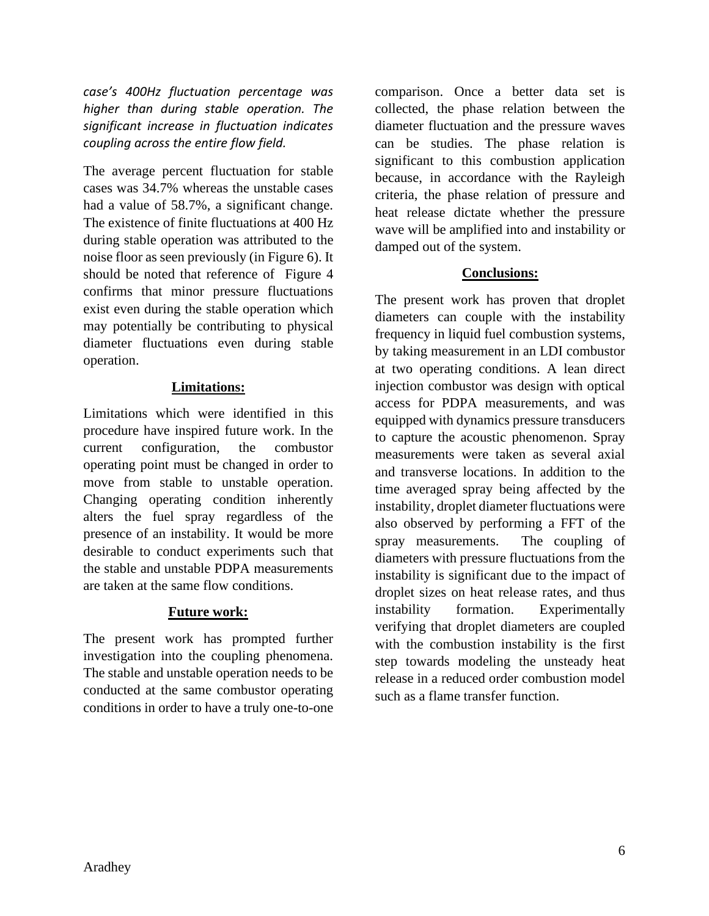*case's 400Hz fluctuation percentage was higher than during stable operation. The significant increase in fluctuation indicates coupling across the entire flow field.*

The average percent fluctuation for stable cases was 34.7% whereas the unstable cases had a value of 58.7%, a significant change. The existence of finite fluctuations at 400 Hz during stable operation was attributed to the noise floor as seen previously (in [Figure 6\)](#page-4-0). It should be noted that reference of [Figure](#page-3-1) 4 confirms that minor pressure fluctuations exist even during the stable operation which may potentially be contributing to physical diameter fluctuations even during stable operation.

## **Limitations:**

Limitations which were identified in this procedure have inspired future work. In the current configuration, the combustor operating point must be changed in order to move from stable to unstable operation. Changing operating condition inherently alters the fuel spray regardless of the presence of an instability. It would be more desirable to conduct experiments such that the stable and unstable PDPA measurements are taken at the same flow conditions.

## **Future work:**

The present work has prompted further investigation into the coupling phenomena. The stable and unstable operation needs to be conducted at the same combustor operating conditions in order to have a truly one-to-one

comparison. Once a better data set is collected, the phase relation between the diameter fluctuation and the pressure waves can be studies. The phase relation is significant to this combustion application because, in accordance with the Rayleigh criteria, the phase relation of pressure and heat release dictate whether the pressure wave will be amplified into and instability or damped out of the system.

# **Conclusions:**

The present work has proven that droplet diameters can couple with the instability frequency in liquid fuel combustion systems, by taking measurement in an LDI combustor at two operating conditions. A lean direct injection combustor was design with optical access for PDPA measurements, and was equipped with dynamics pressure transducers to capture the acoustic phenomenon. Spray measurements were taken as several axial and transverse locations. In addition to the time averaged spray being affected by the instability, droplet diameter fluctuations were also observed by performing a FFT of the spray measurements. The coupling of diameters with pressure fluctuations from the instability is significant due to the impact of droplet sizes on heat release rates, and thus instability formation. Experimentally verifying that droplet diameters are coupled with the combustion instability is the first step towards modeling the unsteady heat release in a reduced order combustion model such as a flame transfer function.